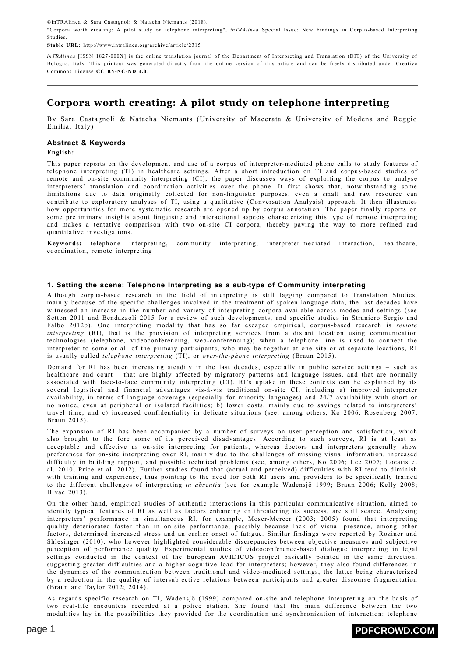©inTRAlinea & Sara Castagnoli & Natacha Niemants (2018).

"Corpora worth creating: A pilot study on telephone interpreting", *inTRAlinea* Special Issue: New Findings in Corpus-based Interpreting Studies.

**Stable URL:** http://www.intralinea.org/archive/article/2315

*inTRAlinea* [ISSN 1827-000X] is the online translation journal of the Department of Interpreting and Translation (DIT) of the University of Bologna, Italy. This printout was generated directly from the online version of this article and can be freely distributed under Creative Commons License **CC [BY-NC-ND](http://creativecommons.org/licenses/by-nc-nd/4.0/) 4.0**.

# **Corpora worth creating: A pilot study on telephone interpreting**

By Sara Castagnoli & Natacha Niemants (University of Macerata & University of Modena and Reggio Emilia, Italy)

### **Abstract & Keywords**

**English:**

This paper reports on the development and use of a corpus of interpreter-mediated phone calls to study features of telephone interpreting (TI) in healthcare settings. After a short introduction on TI and corpus-based studies of remote and on-site community interpreting (CI), the paper discusses ways of exploiting the corpus to analyse interpreters' translation and coordination activities over the phone. It first shows that, notwithstanding some limitations due to data originally collected for non-linguistic purposes, even a small and raw resource can contribute to exploratory analyses of TI, using a qualitative (Conversation Analysis) approach. It then illustrates how opportunities for more systematic research are opened up by corpus annotation. The paper finally reports on some preliminary insights about linguistic and interactional aspects characterizing this type of remote interpreting and makes a tentative comparison with two on-site CI corpora, thereby paving the way to more refined and quantitative investigations.

**Keywords:** telephone interpreting, community interpreting, interpreter-mediated interaction, healthcare, coordination, remote interpreting

### **1. Setting the scene: Telephone Interpreting as a sub-type of Community interpreting**

Although corpus-based research in the field of interpreting is still lagging compared to Translation Studies, mainly because of the specific challenges involved in the treatment of spoken language data, the last decades have witnessed an increase in the number and variety of interpreting corpora available across modes and settings (see Setton 2011 and Bendazzoli 2015 for a review of such developments, and specific studies in Straniero Sergio and Falbo 2012b). One interpreting modality that has so far escaped empirical, corpus-based research is *remote interpreting* (RI), that is the provision of interpreting services from a distant location using communication technologies (telephone, videoconferencing, web-conferencing); when a telephone line is used to connect the interpreter to some or all of the primary participants, who may be together at one site or at separate locations, RI is usually called *telephone interpreting* (TI), or *over-the-phone interpreting* (Braun 2015).

Demand for RI has been increasing steadily in the last decades, especially in public service settings – such as healthcare and court – that are highly affected by migratory patterns and language issues, and that are normally associated with face-to-face community interpreting (CI). RI's uptake in these contexts can be explained by its several logistical and financial advantages vis-à-vis traditional on-site CI, including a) improved interpreter availability, in terms of language coverage (especially for minority languages) and 24/7 availability with short or no notice, even at peripheral or isolated facilities; b) lower costs, mainly due to savings related to interpreters' travel time; and c) increased confidentiality in delicate situations (see, among others, Ko 2006; Rosenberg 2007; Braun 2015).

The expansion of RI has been accompanied by a number of surveys on user perception and satisfaction, which also brought to the fore some of its perceived disadvantages. According to such surveys, RI is at least as acceptable and effective as on-site interpreting for patients, whereas doctors and interpreters generally show preferences for on-site interpreting over RI, mainly due to the challenges of missing visual information, increased difficulty in building rapport, and possible technical problems (see, among others, Ko 2006; Lee 2007; Locatis et al. 2010; Price et al. 2012). Further studies found that (actual and perceived) difficulties with RI tend to diminish with training and experience, thus pointing to the need for both RI users and providers to be specifically trained to the different challenges of interpreting *in absentia* (see for example Wadensjö 1999; Braun 2006; Kelly 2008; Hlvac 2013).

On the other hand, empirical studies of authentic interactions in this particular communicative situation, aimed to identify typical features of RI as well as factors enhancing or threatening its success, are still scarce. Analysing interpreters' performance in simultaneous RI, for example, Moser-Mercer (2003; 2005) found that interpreting quality deteriorated faster than in on-site performance, possibly because lack of visual presence, among other factors, determined increased stress and an earlier onset of fatigue. Similar findings were reported by Roziner and Shlesinger (2010), who however highlighted considerable discrepancies between objective measures and subjective perception of performance quality. Experimental studies of videoconference-based dialogue interpreting in legal settings conducted in the context of the European AVIDICUS project basically pointed in the same direction, suggesting greater difficulties and a higher cognitive load for interpreters; however, they also found differences in the dynamics of the communication between traditional and video-mediated settings, the latter being characterized by a reduction in the quality of intersubjective relations between participants and greater discourse fragmentation (Braun and Taylor 2012; 2014).

As regards specific research on TI, Wadensjö (1999) compared on-site and telephone interpreting on the basis of two real-life encounters recorded at a police station. She found that the main difference between the two modalities lay in the possibilities they provided for the coordination and synchronization of interaction: telephone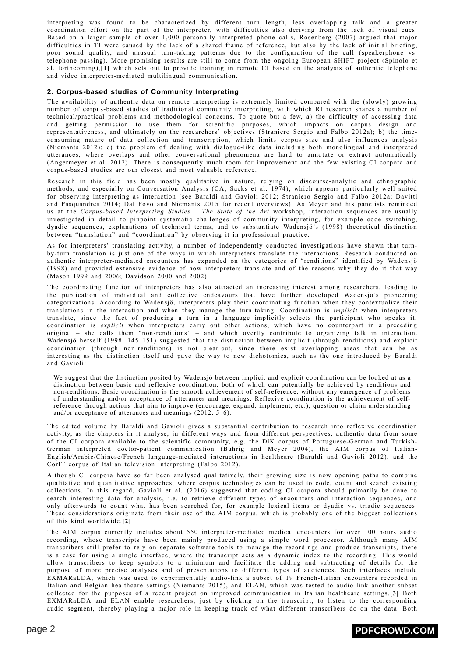interpreting was found to be characterized by different turn length, less overlapping talk and a greater coordination effort on the part of the interpreter, with difficulties also deriving from the lack of visual cues. Based on a larger sample of over 1,000 personally interpreted phone calls, Rosenberg (2007) argued that major difficulties in TI were caused by the lack of a shared frame of reference, but also by the lack of initial briefing, poor sound quality, and unusual turn-taking patterns due to the configuration of the call (speakerphone vs. telephone passing). More promising results are still to come from the ongoing European SHIFT project (Spinolo et al. forthcoming),**[\[1\]](#page-11-0)** which sets out to provide training in remote CI based on the analysis of authentic telephone and video interpreter-mediated multilingual communication.

### <span id="page-1-0"></span>**2. Corpus-based studies of Community Interpreting**

The availability of authentic data on remote interpreting is extremely limited compared with the (slowly) growing number of corpus-based studies of traditional community interpreting, with which RI research shares a number of technical/practical problems and methodological concerns. To quote but a few, a) the difficulty of accessing data and getting permission to use them for scientific purposes, which impacts on corpus design and representativeness, and ultimately on the researchers' objectives (Straniero Sergio and Falbo 2012a); b) the timeconsuming nature of data collection and transcription, which limits corpus size and also influences analysis (Niemants 2012); c) the problem of dealing with dialogue-like data including both monolingual and interpreted utterances, where overlaps and other conversational phenomena are hard to annotate or extract automatically (Angermeyer et al. 2012). There is consequently much room for improvement and the few existing CI corpora and corpus-based studies are our closest and most valuable reference.

Research in this field has been mostly qualitative in nature, relying on discourse-analytic and ethnographic methods, and especially on Conversation Analysis (CA; Sacks et al. 1974), which appears particularly well suited for observing interpreting as interaction (see Baraldi and Gavioli 2012; Straniero Sergio and Falbo 2012a; Davitti and Pasquandrea 2014; Dal Fovo and Niemants 2015 for recent overviews). As Meyer and his panelists reminded us at the *Corpus-based Interpreting Studies – The State of the Art* workshop, interaction sequences are usually investigated in detail to pinpoint systematic challenges of community interpreting, for example code switching, dyadic sequences, explanations of technical terms, and to substantiate Wadensjö's (1998) theoretical distinction between "translation" and "coordination" by observing it in professional practice.

As for interpreters' translating activity, a number of independently conducted investigations have shown that turnby-turn translation is just one of the ways in which interpreters translate the interactions. Research conducted on authentic interpreter-mediated encounters has expanded on the categories of "renditions" identified by Wadensjö (1998) and provided extensive evidence of how interpreters translate and of the reasons why they do it that way (Mason 1999 and 2006; Davidson 2000 and 2002).

The coordinating function of interpreters has also attracted an increasing interest among researchers, leading to the publication of individual and collective endeavours that have further developed Wadensjö's pioneering categorizations. According to Wadensjö, interpreters play their coordinating function when they contextualize their translations in the interaction and when they manage the turn-taking. Coordination is *implicit* when interpreters translate, since the fact of producing a turn in a language implicitly selects the participant who speaks it; coordination is *explicit* when interpreters carry out other actions, which have no counterpart in a preceding original – she calls them "non-renditions" – and which overtly contribute to organizing talk in interaction. Wadensjö herself (1998: 145–151) suggested that the distinction between implicit (through renditions) and explicit coordination (through non-renditions) is not clear-cut, since there exist overlapping areas that can be as interesting as the distinction itself and pave the way to new dichotomies, such as the one introduced by Baraldi and Gavioli:

We suggest that the distinction posited by Wadensjö between implicit and explicit coordination can be looked at as a distinction between basic and reflexive coordination, both of which can potentially be achieved by renditions and non-renditions. Basic coordination is the smooth achievement of self-reference, without any emergence of problems of understanding and/or acceptance of utterances and meanings. Reflexive coordination is the achievement of selfreference through actions that aim to improve (encourage, expand, implement, etc.), question or claim understanding and/or acceptance of utterances and meanings (2012: 5–6).

The edited volume by Baraldi and Gavioli gives a substantial contribution to research into reflexive coordination activity, as the chapters in it analyse, in different ways and from different perspectives, authentic data from some of the CI corpora available to the scientific community, e.g. the DiK corpus of Portuguese-German and Turkish-German interpreted doctor-patient communication (Bührig and Meyer 2004), the AIM corpus of Italian-English/Arabic/Chinese/French language-mediated interactions in healthcare (Baraldi and Gavioli 2012), and the CorIT corpus of Italian television interpreting (Falbo 2012).

Although CI corpora have so far been analysed qualitatively, their growing size is now opening paths to combine qualitative and quantitative approaches, where corpus technologies can be used to code, count and search existing collections. In this regard, Gavioli et al. (2016) suggested that coding CI corpora should primarily be done to search interesting data for analysis, i.e. to retrieve different types of encounters and interaction sequences, and only afterwards to count what has been searched for, for example lexical items or dyadic vs. triadic sequences. These considerations originate from their use of the AIM corpus, which is probably one of the biggest collections of this kind worldwide.**[\[2\]](#page-11-1)**

<span id="page-1-2"></span><span id="page-1-1"></span>The AIM corpus currently includes about 550 interpreter-mediated medical encounters for over 100 hours audio recording, whose transcripts have been mainly produced using a simple word processor. Although many AIM transcribers still prefer to rely on separate software tools to manage the recordings and produce transcripts, there is a case for using a single interface, where the transcript acts as a dynamic index to the recording. This would allow transcribers to keep symbols to a minimum and facilitate the adding and subtracting of details for the purpose of more precise analyses and of presentations to different types of audiences. Such interfaces include EXMARaLDA, which was used to experimentally audio-link a subset of 19 French-Italian encounters recorded in Italian and Belgian healthcare settings (Niemants 2015), and ELAN, which was tested to audio-link another subset collected for the purposes of a recent project on improved communication in Italian healthcare settings.**[\[3\]](#page-12-0)** Both EXMARaLDA and ELAN enable researchers, just by clicking on the transcript, to listen to the corresponding audio segment, thereby playing a major role in keeping track of what different transcribers do on the data. Both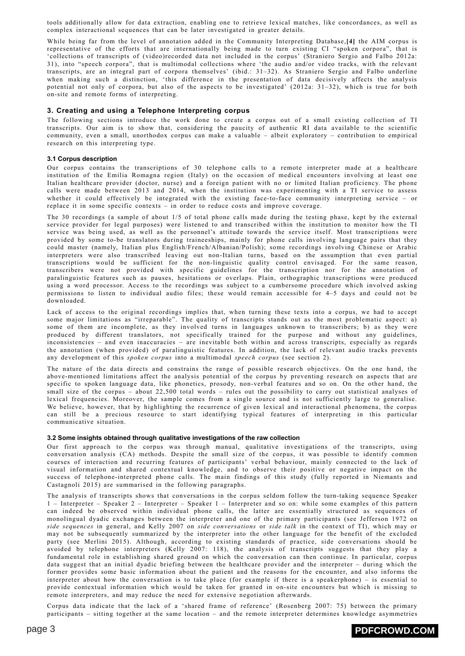tools additionally allow for data extraction, enabling one to retrieve lexical matches, like concordances, as well as complex interactional sequences that can be later investigated in greater details.

<span id="page-2-0"></span>While being far from the level of annotation added in the Community Interpreting Database,**[\[4\]](#page-12-1)** the AIM corpus is representative of the efforts that are internationally being made to turn existing CI "spoken corpora", that is 'collections of transcripts of (video)recorded data not included in the corpus' (Straniero Sergio and Falbo 2012a: 31), into "speech corpora", that is multimodal collections where 'the audio and/or video tracks, with the relevant transcripts, are an integral part of corpora themselves' (ibid.: 31–32). As Straniero Sergio and Falbo underline when making such a distinction, 'this difference in the presentation of data decisively affects the analysis potential not only of corpora, but also of the aspects to be investigated' (2012a: 31–32), which is true for both on-site and remote forms of interpreting.

### **3. Creating and using a Telephone Interpreting corpus**

The following sections introduce the work done to create a corpus out of a small existing collection of TI transcripts. Our aim is to show that, considering the paucity of authentic RI data available to the scientific community, even a small, unorthodox corpus can make a valuable – albeit exploratory – contribution to empirical research on this interpreting type.

### **3.1 Corpus description**

Our corpus contains the transcriptions of 30 telephone calls to a remote interpreter made at a healthcare institution of the Emilia Romagna region (Italy) on the occasion of medical encounters involving at least one Italian healthcare provider (doctor, nurse) and a foreign patient with no or limited Italian proficiency. The phone calls were made between 2013 and 2014, when the institution was experimenting with a TI service to assess whether it could effectively be integrated with the existing face-to-face community interpreting service – or replace it in some specific contexts – in order to reduce costs and improve coverage.

The 30 recordings (a sample of about 1/5 of total phone calls made during the testing phase, kept by the external service provider for legal purposes) were listened to and transcribed within the institution to monitor how the TI service was being used, as well as the personnel's attitude towards the service itself. Most transcriptions were provided by some to-be translators during traineeships, mainly for phone calls involving language pairs that they could master (namely, Italian plus English/French/Albanian/Polish); some recordings involving Chinese or Arabic interpreters were also transcribed leaving out non-Italian turns, based on the assumption that even partial transcriptions would be sufficient for the non-linguistic quality control envisaged. For the same reason, transcribers were not provided with specific guidelines for the transcription nor for the annotation of paralinguistic features such as pauses, hesitations or overlaps. Plain, orthographic transcriptions were produced using a word processor. Access to the recordings was subject to a cumbersome procedure which involved asking permissions to listen to individual audio files; these would remain accessible for 4–5 days and could not be downloaded.

Lack of access to the original recordings implies that, when turning these texts into a corpus, we had to accept some major limitations as "irreparable". The quality of transcripts stands out as the most problematic aspect: a) some of them are incomplete, as they involved turns in languages unknown to transcribers; b) as they were produced by different translators, not specifically trained for the purpose and without any guidelines, inconsistencies – and even inaccuracies – are inevitable both within and across transcripts, especially as regards the annotation (when provided) of paralinguistic features. In addition, the lack of relevant audio tracks prevents any development of this *spoken corpus* into a multimodal *speech corpus* (see section 2).

The nature of the data directs and constrains the range of possible research objectives. On the one hand, the above-mentioned limitations affect the analysis potential of the corpus by preventing research on aspects that are specific to spoken language data, like phonetics, prosody, non-verbal features and so on. On the other hand, the small size of the corpus – about 22,500 total words – rules out the possibility to carry out statistical analyses of lexical frequencies. Moreover, the sample comes from a single source and is not sufficiently large to generalise. We believe, however, that by highlighting the recurrence of given lexical and interactional phenomena, the corpus can still be a precious resource to start identifying typical features of interpreting in this particular communicative situation.

#### **3.2 Some insights obtained through qualitative investigations of the raw collection**

Our first approach to the corpus was through manual, qualitative investigations of the transcripts, using conversation analysis (CA) methods. Despite the small size of the corpus, it was possible to identify common courses of interaction and recurring features of participants' verbal behaviour, mainly connected to the lack of visual information and shared contextual knowledge, and to observe their positive or negative impact on the success of telephone-interpreted phone calls. The main findings of this study (fully reported in Niemants and Castagnoli 2015) are summarised in the following paragraphs.

The analysis of transcripts shows that conversations in the corpus seldom follow the turn-taking sequence Speaker 1 – Interpreter – Speaker 2 – Interpreter – Speaker 1 – Interpreter and so on: while some examples of this pattern can indeed be observed within individual phone calls, the latter are essentially structured as sequences of monolingual dyadic exchanges between the interpreter and one of the primary participants (see Jefferson 1972 on *side sequences* in general, and Kelly 2007 on *side conversations* or *side talk* in the context of TI), which may or may not be subsequently summarized by the interpreter into the other language for the benefit of the excluded party (see Merlini 2015). Although, according to existing standards of practice, side conversations should be avoided by telephone interpreters (Kelly 2007: 118), the analysis of transcripts suggests that they play a fundamental role in establishing shared ground on which the conversation can then continue. In particular, corpus data suggest that an initial dyadic briefing between the healthcare provider and the interpreter – during which the former provides some basic information about the patient and the reasons for the encounter, and also informs the interpreter about how the conversation is to take place (for example if there is a speakerphone) – is essential to provide contextual information which would be taken for granted in on-site encounters but which is missing to remote interpreters, and may reduce the need for extensive negotiation afterwards.

Corpus data indicate that the lack of a 'shared frame of reference' (Rosenberg 2007: 75) between the primary participants – sitting together at the same location – and the remote interpreter determines knowledge asymmetries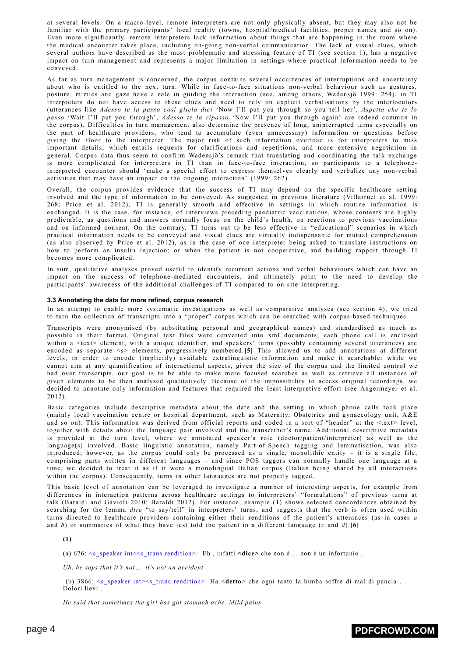at several levels. On a macro-level, remote interpreters are not only physically absent, but they may also not be familiar with the primary participants' local reality (towns, hospital/medical facilities, proper names and so on). Even more significantly, remote interpreters lack information about things that are happening in the room where the medical encounter takes place, including on-going non-verbal communication. The lack of visual clues, which several authors have described as the most problematic and stressing feature of TI (see section 1), has a negative impact on turn management and represents a major limitation in settings where practical information needs to be conveyed.

As far as turn management is concerned, the corpus contains several occurrences of interruptions and uncertainty about who is entitled to the next turn. While in face-to-face situations non-verbal behaviour such as gestures, posture, mimics and gaze have a role in guiding the interaction (see, among others, Wadensjö 1999: 254), in TI interpreters do not have access to these clues and need to rely on explicit verbalisations by the interlocutors (utterances like *Adesso te la passo così glielo dici* 'Now I'll put you through so you tell her', *Aspetta che te lo passo* 'Wait I'll put you through', *Adesso te la ripasso* 'Now I'll put you through again' are indeed common in the corpus). Difficulties in turn management also determine the presence of long, uninterrupted turns especially on the part of healthcare providers, who tend to accumulate (even unnecessary) information or questions before giving the floor to the interpreter. The major risk of such information overload is for interpreters to miss important details, which entails requests for clarifications and repetitions, and more extensive negotiation in general. Corpus data thus seem to confirm Wadensjö's remark that translating and coordinating the talk exchange is more complicated for interpreters in TI than in face-to-face interaction, so participants to a telephoneinterpreted encounter should 'make a special effort to express themselves clearly and verbalize any non-verbal activities that may have an impact on the ongoing interaction' (1999: 262).

Overall, the corpus provides evidence that the success of TI may depend on the specific healthcare setting involved and the type of information to be conveyed. As suggested in previous literature (Villarruel et al. 1999: 268; Price et al. 2012), TI is generally smooth and effective in settings in which routine information is exchanged. It is the case, for instance, of interviews preceding paediatric vaccinations, whose contents are highly predictable, as questions and answers normally focus on the child's health, on reactions to previous vaccinations and on informed consent. On the contrary, TI turns out to be less effective in "educational" scenarios in which practical information needs to be conveyed and visual clues are virtually indispensable for mutual comprehension (as also observed by Price et al. 2012), as in the case of one interpreter being asked to translate instructions on how to perform an insulin injection; or when the patient is not cooperative, and building rapport through TI becomes more complicated.

In sum, qualitative analyses proved useful to identify recurrent actions and verbal behaviours which can have an impact on the success of telephone-mediated encounters, and ultimately point to the need to develop the participants' awareness of the additional challenges of TI compared to on-site interpreting.

#### **3.3 Annotating the data for more refined, corpus research**

In an attempt to enable more systematic investigations as well as comparative analyses (see section 4), we tried to turn the collection of transcripts into a "proper" corpus which can be searched with corpus-based techniques.

<span id="page-3-0"></span>Transcripts were anonymised (by substituting personal and geographical names) and standardised as much as possible in their format. Original text files were converted into xml documents; each phone call is enclosed within a <text> element, with a unique identifier, and speakers' turns (possibly containing several utterances) are encoded as separate <s> elements, progressively numbered.**[\[5\]](#page-12-2)** This allowed us to add annotations at different levels, in order to encode (implicitly) available extralinguistic information and make it searchable: while we cannot aim at any quantification of interactional aspects, given the size of the corpus and the limited control we had over transcripts, our goal is to be able to make more focused searches as well as retrieve all instances of given elements to be then analysed qualitatively. Because of the impossibility to access original recordings, we decided to annotate only information and features that required the least interpretive effort (see Angermeyer et al. 2012).

Basic categories include descriptive metadata about the date and the setting in which phone calls took place (mainly local vaccination centre or hospital department, such as Maternity, Obstetrics and gynaecology unit, A&E and so on). This information was derived from official reports and coded in a sort of "header" at the <text> level, together with details about the language pair involved and the transcriber's name. Additional descriptive metadata is provided at the turn level, where we annotated speaker's role (doctor/patient/interpreter) as well as the language(s) involved. Basic linguistic annotation, namely Part-of-Speech tagging and lemmatisation, was also introduced; however, as the corpus could only be processed as a single, monolithic entity – it is a single file, comprising parts written in different languages – and since POS taggers can normally handle one language at a time, we decided to treat it as if it were a monolingual Italian corpus (Italian being shared by all interactions within the corpus). Consequently, turns in other languages are not properly tagged.

This basic level of annotation can be leveraged to investigate a number of interesting aspects, for example from differences in interaction patterns across healthcare settings to interpreters' "formulations" of previous turns at talk (Baraldi and Gavioli 2010; Baraldi 2012). For instance, example (1) shows selected concordances obtained by searching for the lemma *dire* "to say/tell" in interpreters' turns, and suggests that the verb is often used within turns directed to healthcare providers containing either their renditions of the patient's utterances (as in cases *a* and *b*) or summaries of what they have just told the patient in a different language (*c* and *d*).**[\[6\]](#page-12-3)**

<span id="page-3-1"></span>**(1)**

(a) 676: <s\_speaker int><s\_trans rendition>: Eh , infatti **<dice>** che non è ... non è un infortunio .

*Uh, he says that it's not… it's not an accident .*

(b) 3866: <s\_speaker int><s\_trans rendition>: Ha <**detto**> che ogni tanto la bimba soffre di mal di pancia . Dolori lievi .

*He said that sometimes the girl has got stomach ache. Mild pains .*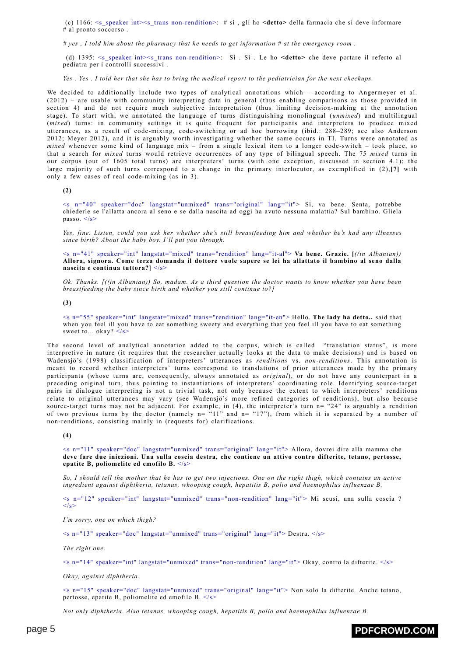(c) 1166: <s\_speaker int><s\_trans non-rendition>: # sì , gli ho **<detto>** della farmacia che si deve informare # al pronto soccorso .

 $\# yes$ , I told him about the pharmacy that he needs to get information  $\# at$  the emergency room.

(d) 1395: <s\_speaker int><s\_trans non-rendition>: Sì . Sì . Le ho **<detto>** che deve portare il referto al pediatra per i controlli successivi .

Yes. Yes. I told her that she has to bring the medical report to the pediatrician for the next checkups.

We decided to additionally include two types of analytical annotations which – according to Angermeyer et al. (2012) – are usable with community interpreting data in general (thus enabling comparisons as those provided in section 4) and do not require much subjective interpretation (thus limiting decision-making at the annotation stage). To start with, we annotated the language of turns distinguishing monolingual (*unmixed*) and multilingual (*mixed*) turns: in community settings it is quite frequent for participants and interpreters to produce mixed utterances, as a result of code-mixing, code-switching or ad hoc borrowing (ibid.: 288–289; see also Anderson 2012; Meyer 2012), and it is arguably worth investigating whether the same occurs in TI. Turns were annotated as *mixed* whenever some kind of language mix – from a single lexical item to a longer code-switch – took place, so that a search for *mixed* turns would retrieve occurrences of any type of bilingual speech. The 75 *mixed* turns in our corpus (out of 1605 total turns) are interpreters' turns (with one exception, discussed in section 4.1); the large majority of such turns correspond to a change in the primary interlocutor, as exemplified in (2),**[\[7\]](#page-12-4)** with only a few cases of real code-mixing (as in 3).

<span id="page-4-0"></span>**(2)**

<s n="40" speaker="doc" langstat="unmixed" trans="original" lang="it"> Sì, va bene. Senta, potrebbe chiederle se l'allatta ancora al seno e se dalla nascita ad oggi ha avuto nessuna malattia? Sul bambino. Gliela passo. </s>

Yes, fine. Listen, could you ask her whether she's still breastfeeding him and whether he's had any illnesses *since birth? About the baby boy. I'll put you through.*

<s n="41" speaker="int" langstat="mixed" trans="rendition" lang="it-al"> **Va bene. Grazie. [***((in Albanian))* Allora, signora. Come terza domanda il dottore vuole sapere se lei ha allattato il bambino al seno dalla **nascita e continua tuttora?]** </s>

Ok. Thanks.  $\int ((in Albanian))$  So, madam. As a third question the doctor wants to know whether you have been *breastfeeding the baby since birth and whether you still continue to?]*

**(3)**

<s n="55" speaker="int" langstat="mixed" trans="rendition" lang="it-en"> Hello. **The lady ha detto..** said that when you feel ill you have to eat something sweety and everything that you feel ill you have to eat something sweet to... okay? </s>

The second level of analytical annotation added to the corpus, which is called "translation status", is more interpretive in nature (it requires that the researcher actually looks at the data to make decisions) and is based on Wadensjö's (1998) classification of interpreters' utterances as *renditions* vs. *non-renditions*. This annotation is meant to record whether interpreters' turns correspond to translations of prior utterances made by the primary participants (whose turns are, consequently, always annotated as *original*), or do not have any counterpart in a preceding original turn, thus pointing to instantiations of interpreters' coordinating role. Identifying source-target pairs in dialogue interpreting is not a trivial task, not only because the extent to which interpreters' renditions relate to original utterances may vary (see Wadensjö's more refined categories of renditions), but also because source-target turns may not be adjacent. For example, in (4), the interpreter's turn  $n = "24"$  is arguably a rendition of two previous turns by the doctor (namely  $n = 11$ " and  $n = 17$ "), from which it is separated by a number of non-renditions, consisting mainly in (requests for) clarifications.

**(4)**

<s n="11" speaker="doc" langstat="unmixed" trans="original" lang="it"> Allora, dovrei dire alla mamma che **deve fare due iniezioni. Una sulla coscia destra, che contiene un attivo contro difterite, tetano, pertosse, epatite B, poliomelite ed emofilo B.** </s>

So, I should tell the mother that he has to get two injections. One on the right thigh, which contains an active *ingredient against diphtheria, tetanus, whooping cough, hepatitis B, polio and haemophilus influenzae B.*

<s n="12" speaker="int" langstat="unmixed" trans="non-rendition" lang="it"> Mi scusi, una sulla coscia ?  $\langle$ /s $>$ 

*I'm sorry, one on which thigh?*

 $\leq$ s n="13" speaker="doc" langstat="unmixed" trans="original" lang="it"> Destra.  $\leq$ /s>

*The right one.*

 $\leq$ s n="14" speaker="int" langstat="unmixed" trans="non-rendition" lang="it"> Okay, contro la difterite.  $\leq$ /s>

*Okay, against diphtheria.*

<s n="15" speaker="doc" langstat="unmixed" trans="original" lang="it"> Non solo la difterite. Anche tetano, pertosse, epatite B, poliomelite ed emofilo B. </s>

*Not only diphtheria. Also tetanus, whooping cough, hepatitis B, polio and haemophilus influenzae B.*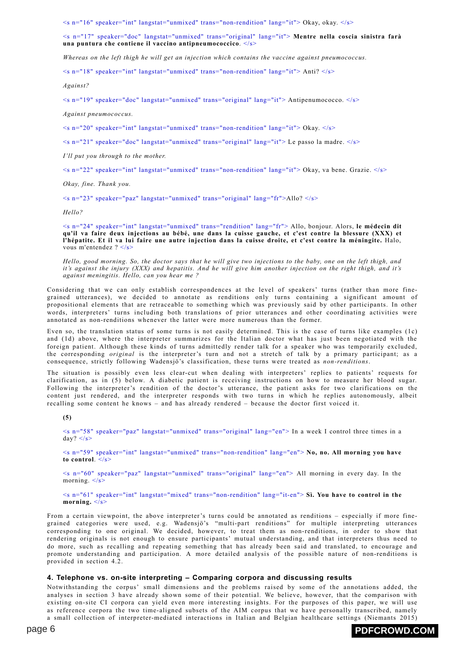$\leq$ s n="16" speaker="int" langstat="unmixed" trans="non-rendition" lang="it"> Okay, okay.  $\lt/$ s>

<s n="17" speaker="doc" langstat="unmixed" trans="original" lang="it"> **Mentre nella coscia sinistra farà una puntura che contiene il vaccino antipneumococcico**. </s>

*Whereas on the left thigh he will get an injection which contains the vaccine against pneumococcus.*

 $\leq$ s n="18" speaker="int" langstat="unmixed" trans="non-rendition" lang="it"> Anti?  $\leq$ /s>

*Against?*

 $\leq$ s n="19" speaker="doc" langstat="unmixed" trans="original" lang="it"> Antipenumococco.  $\lt$ /s>

*Against pneumococcus.*

 $\leq$ s n="20" speaker="int" langstat="unmixed" trans="non-rendition" lang="it"> Okay.  $\leq$ /s>

 $\leq$ s n="21" speaker="doc" langstat="unmixed" trans="original" lang="it"> Le passo la madre.  $\leq$ /s>

*I'll put you through to the mother.*

 $\leq$ s n="22" speaker="int" langstat="unmixed" trans="non-rendition" lang="it"> Okay, va bene. Grazie.  $\leq$ /s>

*Okay, fine. Thank you.*

 $\leq$ s n="23" speaker="paz" langstat="unmixed" trans="original" lang="fr">Allo?  $\leq$ /s>

*Hello?*

<s n="24" speaker="int" langstat="unmixed" trans="rendition" lang="fr"> Allo, bonjour. Alors, **le médecin dit** qu'il va faire deux injections au bébé, une dans la cuisse gauche, et c'est contre la blessure (XXX) et l'hépatite. Et il va lui faire une autre injection dans la cuisse droite, et c'est contre la méningite. Halo, vous m'entendez ? </s>

Hello, good morning. So, the doctor says that he will give two injections to the baby, one on the left thigh, and it's against the injury (XXX) and hepatitis. And he will give him another injection on the right thigh, and it's *against meningitis. Hello, can you hear me ?*

Considering that we can only establish correspondences at the level of speakers' turns (rather than more finegrained utterances), we decided to annotate as renditions only turns containing a significant amount of propositional elements that are retraceable to something which was previously said by other participants. In other words, interpreters' turns including both translations of prior utterances and other coordinating activities were annotated as non-renditions whenever the latter were more numerous than the former.

Even so, the translation status of some turns is not easily determined. This is the case of turns like examples (1c) and (1d) above, where the interpreter summarizes for the Italian doctor what has just been negotiated with the foreign patient. Although these kinds of turns admittedly render talk for a speaker who was temporarily excluded, the corresponding *original* is the interpreter's turn and not a stretch of talk by a primary participant; as a consequence, strictly following Wadensjö's classification, these turns were treated as *non-renditions*.

The situation is possibly even less clear-cut when dealing with interpreters' replies to patients' requests for clarification, as in (5) below. A diabetic patient is receiving instructions on how to measure her blood sugar. Following the interpreter's rendition of the doctor's utterance, the patient asks for two clarifications on the content just rendered, and the interpreter responds with two turns in which he replies autonomously, albeit recalling some content he knows – and has already rendered – because the doctor first voiced it.

**(5)**

<s n="58" speaker="paz" langstat="unmixed" trans="original" lang="en"> In a week I control three times in a  $day?$   $\lt/s$ 

<s n="59" speaker="int" langstat="unmixed" trans="non-rendition" lang="en"> **No, no. All morning you have** to control.  $\frac{1}{5}$ 

 $\leq$ s n="60" speaker="paz" langstat="unmixed" trans="original" lang="en"> All morning in every day. In the morning.  $\langle s \rangle$ 

<s n="61" speaker="int" langstat="mixed" trans="non-rendition" lang="it-en"> **Sì. You have to control in the morning.** </s>

From a certain viewpoint, the above interpreter's turns could be annotated as renditions – especially if more finegrained categories were used, e.g. Wadensjö's "multi-part renditions" for multiple interpreting utterances corresponding to one original. We decided, however, to treat them as non-renditions, in order to show that rendering originals is not enough to ensure participants' mutual understanding, and that interpreters thus need to do more, such as recalling and repeating something that has already been said and translated, to encourage and promote understanding and participation. A more detailed analysis of the possible nature of non-renditions is provided in section 4.2.

### **4. Telephone vs. on-site interpreting – Comparing corpora and discussing results**

Notwithstanding the corpus' small dimensions and the problems raised by some of the annotations added, the analyses in section 3 have already shown some of their potential. We believe, however, that the comparison with existing on-site CI corpora can yield even more interesting insights. For the purposes of this paper, we will use as reference corpora the two time-aligned subsets of the AIM corpus that we have personally transcribed, namely a small collection of interpreter-mediated interactions in Italian and Belgian healthcare settings (Niemants 2015)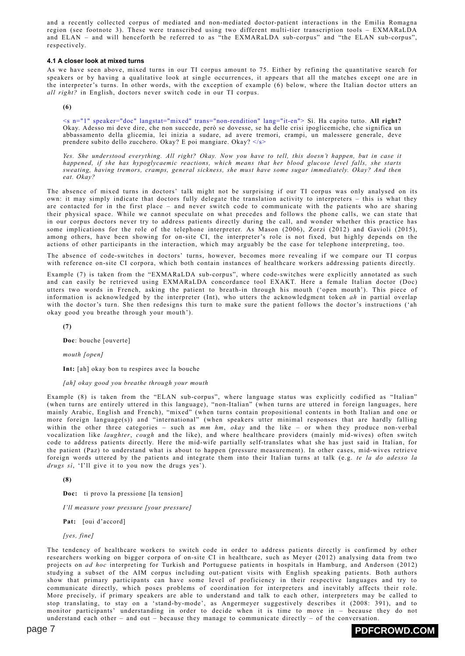and a recently collected corpus of mediated and non-mediated doctor-patient interactions in the Emilia Romagna region (see footnote 3). These were transcribed using two different multi-tier transcription tools – EXMARaLDA and ELAN – and will henceforth be referred to as "the EXMARaLDA sub-corpus" and "the ELAN sub-corpus", respectively.

#### **4.1 A closer look at mixed turns**

As we have seen above, mixed turns in our TI corpus amount to 75. Either by refining the quantitative search for speakers or by having a qualitative look at single occurrences, it appears that all the matches except one are in the interpreter's turns. In other words, with the exception of example (6) below, where the Italian doctor utters an *all right?* in English, doctors never switch code in our TI corpus.

**(6)**

<s n="1" speaker="doc" langstat="mixed" trans="non-rendition" lang="it-en"> Sì. Ha capito tutto. **All right?** Okay. Adesso mi deve dire, che non succede, però se dovesse, se ha delle crisi ipoglicemiche, che significa un abbassamento della glicemia, lei inizia a sudare, ad avere tremori, crampi, un malessere generale, deve prendere subito dello zucchero. Okay? E poi mangiare. Okay? </s>

Yes. She understood everything. All right? Okay. Now you have to tell, this doesn't happen, but in case it *happened, if she has hypoglycaemic reactions, which means that her blood glucose level falls, she starts sweating, having tremors, cramps, general sickness, she must have some sugar immediately. Okay? And then eat. Okay?*

The absence of mixed turns in doctors' talk might not be surprising if our TI corpus was only analysed on its own: it may simply indicate that doctors fully delegate the translation activity to interpreters – this is what they are contacted for in the first place – and never switch code to communicate with the patients who are sharing their physical space. While we cannot speculate on what precedes and follows the phone calls, we can state that in our corpus doctors never try to address patients directly during the call, and wonder whether this practice has some implications for the role of the telephone interpreter. As Mason (2006), Zorzi (2012) and Gavioli (2015), among others, have been showing for on-site CI, the interpreter's role is not fixed, but highly depends on the actions of other participants in the interaction, which may arguably be the case for telephone interpreting, too.

The absence of code-switches in doctors' turns, however, becomes more revealing if we compare our TI corpus with reference on-site CI corpora, which both contain instances of healthcare workers addressing patients directly.

Example (7) is taken from the "EXMARaLDA sub-corpus", where code-switches were explicitly annotated as such and can easily be retrieved using EXMARaLDA concordance tool EXAKT. Here a female Italian doctor (Doc) utters two words in French, asking the patient to breath-in through his mouth ('open mouth'). This piece of information is acknowledged by the interpreter (Int), who utters the acknowledgment token *ah* in partial overlap with the doctor's turn. She then redesigns this turn to make sure the patient follows the doctor's instructions ('ah okay good you breathe through your mouth').

**(7)**

**Doc**: bouche [ouverte]

*mouth [open]*

**Int:** [ah] okay bon tu respires avec la bouche

#### *[ah] okay good you breathe through your mouth*

Example (8) is taken from the "ELAN sub-corpus", where language status was explicitly codified as "Italian" (when turns are entirely uttered in this language), "non-Italian" (when turns are uttered in foreign languages, here mainly Arabic, English and French), "mixed" (when turns contain propositional contents in both Italian and one or more foreign language(s)) and "international" (when speakers utter minimal responses that are hardly falling within the other three categories – such as *mm hm*, *okay* and the like – or when they produce non-verbal vocalization like *laughter*, *cough* and the like), and where healthcare providers (mainly mid-wives) often switch code to address patients directly. Here the mid-wife partially self-translates what she has just said in Italian, for the patient (Paz) to understand what is about to happen (pressure measurement). In other cases, mid-wives retrieve foreign words uttered by the patients and integrate them into their Italian turns at talk (e.g. *te la do adesso la drugs sì*, 'I'll give it to you now the drugs yes').

**(8)**

**Doc:** ti provo la pressione [la tension]

*I'll measure your pressure [your pressure]*

**Pat:** [oui d'accord]

*[yes, fine]*

The tendency of healthcare workers to switch code in order to address patients directly is confirmed by other researchers working on bigger corpora of on-site CI in healthcare, such as Meyer (2012) analysing data from two projects on *ad hoc* interpreting for Turkish and Portuguese patients in hospitals in Hamburg, and Anderson (2012) studying a subset of the AIM corpus including out-patient visits with English speaking patients. Both authors show that primary participants can have some level of proficiency in their respective languages and try to communicate directly, which poses problems of coordination for interpreters and inevitably affects their role. More precisely, if primary speakers are able to understand and talk to each other, interpreters may be called to stop translating, to stay on a 'stand-by-mode', as Angermeyer suggestively describes it (2008: 391), and to monitor participants' understanding in order to decide when it is time to move in – because they do not understand each other – and out – because they manage to communicate directly – of the conversation.

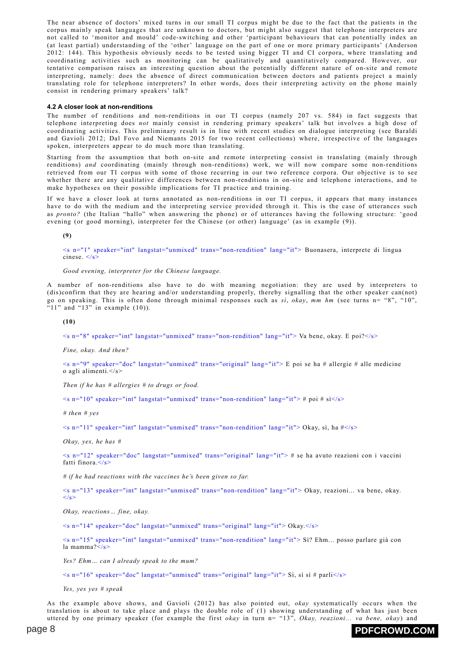The near absence of doctors' mixed turns in our small TI corpus might be due to the fact that the patients in the corpus mainly speak languages that are unknown to doctors, but might also suggest that telephone interpreters are not called to 'monitor and mould' code-switching and other 'participant behaviours that can potentially index an (at least partial) understanding of the 'other' language on the part of one or more primary participants' (Anderson 2012: 144). This hypothesis obviously needs to be tested using bigger TI and CI corpora, where translating and coordinating activities such as monitoring can be qualitatively and quantitatively compared. However, our tentative comparison raises an interesting question about the potentially different nature of on-site and remote interpreting, namely: does the absence of direct communication between doctors and patients project a mainly translating role for telephone interpreters? In other words, does their interpreting activity on the phone mainly consist in rendering primary speakers' talk?

#### **4.2 A closer look at non-renditions**

The number of renditions and non-renditions in our TI corpus (namely 207 vs. 584) in fact suggests that telephone interpreting does *not* mainly consist in rendering primary speakers' talk but involves a high dose of coordinating activities. This preliminary result is in line with recent studies on dialogue interpreting (see Baraldi and Gavioli 2012; Dal Fovo and Niemants 2015 for two recent collections) where, irrespective of the languages spoken, interpreters appear to do much more than translating.

Starting from the assumption that both on-site and remote interpreting consist in translating (mainly through renditions) *and* coordinating (mainly through non-renditions) work, we will now compare some non-renditions retrieved from our TI corpus with some of those recurring in our two reference corpora. Our objective is to see whether there are any qualitative differences between non-renditions in on-site and telephone interactions, and to make hypotheses on their possible implications for TI practice and training.

If we have a closer look at turns annotated as non-renditions in our TI corpus, it appears that many instances have to do with the medium and the interpreting service provided through it. This is the case of utterances such as *pronto?* (the Italian "hallo" when answering the phone) or of utterances having the following structure: 'good evening (or good morning), interpreter for the Chinese (or other) language' (as in example (9)).

**(9)**

<s n="1" speaker="int" langstat="unmixed" trans="non-rendition" lang="it"> Buonasera, interprete di lingua cinese.  $\lt/$ s>

*Good evening, interpreter for the Chinese language.*

A number of non-renditions also have to do with meaning negotiation: they are used by interpreters to (dis)confirm that they are hearing and/or understanding properly, thereby signalling that the other speaker can(not) go on speaking. This is often done through minimal responses such as *sì*, *okay*, *mm hm* (see turns n= "8", "10", " $11$ " and " $13$ " in example  $(10)$ ).

**(10)**

<s n="8" speaker="int" langstat="unmixed" trans="non-rendition" lang="it"> Va bene, okay. E poi?</s>

*Fine, okay. And then?*

<s n="9" speaker="doc" langstat="unmixed" trans="original" lang="it"> E poi se ha # allergie # alle medicine o agli alimenti.</s>

*Then if he has # allergies # to drugs or food.*

 $\leq$ s n="10" speaker="int" langstat="unmixed" trans="non-rendition" lang="it"> # poi # sì $\leq$ /s>

*# then # yes*

 $\leq$ s n="11" speaker="int" langstat="unmixed" trans="non-rendition" lang="it"> Okay, sì, ha  $\neq$ </s>

*Okay, yes, he has #*

<s n="12" speaker="doc" langstat="unmixed" trans="original" lang="it"> # se ha avuto reazioni con i vaccini fatti finora $\langle$ s>

*# if he had reactions with the vaccines he's been given so far.*

<s n="13" speaker="int" langstat="unmixed" trans="non-rendition" lang="it"> Okay, reazioni... va bene, okay.  $\langle$ s>

*Okay, reactions… fine, okay.*

 $\leq$ s n="14" speaker="doc" langstat="unmixed" trans="original" lang="it"> Okay. $\le$ /s>

<s n="15" speaker="int" langstat="unmixed" trans="non-rendition" lang="it"> Sì? Ehm... posso parlare già con la mamma?</s>

*Yes? Ehm… can I already speak to the mum?*

 $\leq$ s n="16" speaker="doc" langstat="unmixed" trans="original" lang="it"> Sì, sì sì # parli $\leq$ /s>

*Yes, yes yes # speak*

As the example above shows, and Gavioli (2012) has also pointed out, *okay* systematically occurs when the translation is about to take place and plays the double role of (1) showing understanding of what has just been uttered by one primary speaker (for example the first *okay* in turn n= "13", *Okay, reazioni... va bene, okay*) and

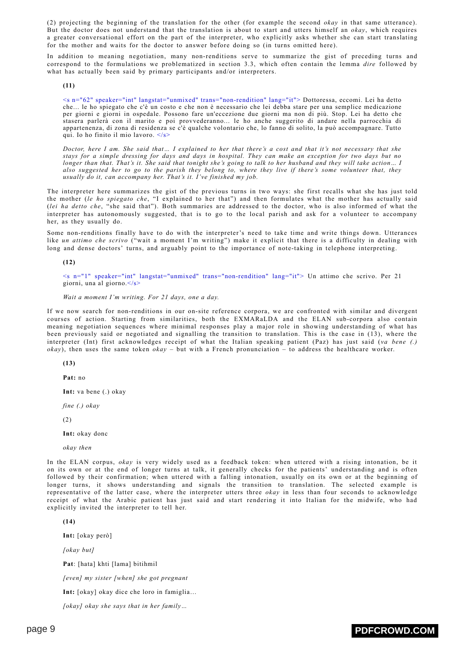(2) projecting the beginning of the translation for the other (for example the second *okay* in that same utterance). But the doctor does not understand that the translation is about to start and utters himself an *okay*, which requires a greater conversational effort on the part of the interpreter, who explicitly asks whether she can start translating for the mother and waits for the doctor to answer before doing so (in turns omitted here).

In addition to meaning negotiation, many non-renditions serve to summarize the gist of preceding turns and correspond to the formulations we problematized in section 3.3, which often contain the lemma *dire* followed by what has actually been said by primary participants and/or interpreters.

**(11)**

<s n="62" speaker="int" langstat="unmixed" trans="non-rendition" lang="it"> Dottoressa, eccomi. Lei ha detto che... le ho spiegato che c'è un costo e che non è necessario che lei debba stare per una semplice medicazione per giorni e giorni in ospedale. Possono fare un'eccezione due giorni ma non di più. Stop. Lei ha detto che stasera parlerà con il marito e poi provvederanno... le ho anche suggerito di andare nella parrocchia di appartenenza, di zona di residenza se c'è qualche volontario che, lo fanno di solito, la può accompagnare. Tutto qui. Io ho finito il mio lavoro. </s>

Doctor, here I am. She said that... I explained to her that there's a cost and that it's not necessary that she stays for a simple dressing for days and days in hospital. They can make an exception for two days but no longer than that. That's it. She said that tonight she's going to talk to her husband and they will take action... I also suggested her to go to the parish they belong to, where they live if there's some volunteer that, they *usually do it, can accompany her. That's it. I've finished my job.*

The interpreter here summarizes the gist of the previous turns in two ways: she first recalls what she has just told the mother (*le ho spiegato che*, "I explained to her that") and then formulates what the mother has actually said (*lei ha detto che*, "she said that"). Both summaries are addressed to the doctor, who is also informed of what the interpreter has autonomously suggested, that is to go to the local parish and ask for a volunteer to accompany her, as they usually do.

Some non-renditions finally have to do with the interpreter's need to take time and write things down. Utterances like *un attimo che scrivo* ("wait a moment I'm writing") make it explicit that there is a difficulty in dealing with long and dense doctors' turns, and arguably point to the importance of note-taking in telephone interpreting.

**(12)**

<s n="1" speaker="int" langstat="unmixed" trans="non-rendition" lang="it"> Un attimo che scrivo. Per 21 giorni, una al giorno.</s>

*Wait a moment I'm writing. For 21 days, one a day.*

If we now search for non-renditions in our on-site reference corpora, we are confronted with similar and divergent courses of action. Starting from similarities, both the EXMARaLDA and the ELAN sub-corpora also contain meaning negotiation sequences where minimal responses play a major role in showing understanding of what has been previously said or negotiated and signalling the transition to translation. This is the case in (13), where the interpreter (Int) first acknowledges receipt of what the Italian speaking patient (Paz) has just said (*va bene (.) okay*), then uses the same token *okay* – but with a French pronunciation – to address the healthcare worker.

**(13)**

**Pat:** no

**Int:** va bene (.) okay

*fine (.) okay*

(2)

**Int:** okay donc

*okay then*

In the ELAN corpus, *okay* is very widely used as a feedback token: when uttered with a rising intonation, be it on its own or at the end of longer turns at talk, it generally checks for the patients' understanding and is often followed by their confirmation; when uttered with a falling intonation, usually on its own or at the beginning of longer turns, it shows understanding and signals the transition to translation. The selected example is representative of the latter case, where the interpreter utters three *okay* in less than four seconds to acknowledge receipt of what the Arabic patient has just said and start rendering it into Italian for the midwife, who had explicitly invited the interpreter to tell her.

**(14)**

**Int:** [okay però]

*[okay but]*

**Pat**: [hata] khti [lama] bitihmil

*[even] my sister [when] she got pregnant*

**Int:** [okay] okay dice che loro in famiglia…

*[okay] okay she says that in her family…*

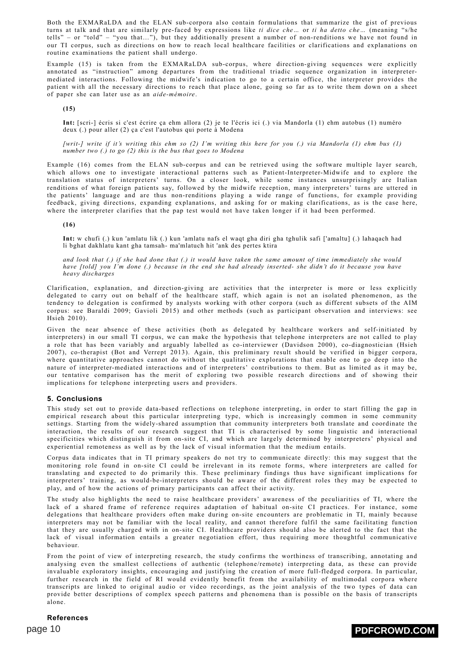Both the EXMARaLDA and the ELAN sub-corpora also contain formulations that summarize the gist of previous turns at talk and that are similarly pre-faced by expressions like *ti dice che…* or *ti ha detto che…* (meaning "s/he tells" – or "told" – "you that…"), but they additionally present a number of non-renditions we have not found in our TI corpus, such as directions on how to reach local healthcare facilities or clarifications and explanations on routine examinations the patient shall undergo.

Example (15) is taken from the EXMARaLDA sub-corpus, where direction-giving sequences were explicitly annotated as "instruction" among departures from the traditional triadic sequence organization in interpretermediated interactions. Following the midwife's indication to go to a certain office, the interpreter provides the patient with all the necessary directions to reach that place alone, going so far as to write them down on a sheet of paper she can later use as an *aide-mémoire*.

**(15)**

**Int:** [scri-] écris si c'est écrire ça ehm allora (2) je te l'écris ici (.) via Mandorla (1) ehm autobus (1) numéro deux (.) pour aller (2) ça c'est l'autobus qui porte à Modena

[writ-] write if it's writing this ehm so (2) I'm writing this here for you (.) via Mandorla (1) ehm bus (1) *number two (.) to go (2) this is the bus that goes to Modena*

Example (16) comes from the ELAN sub-corpus and can be retrieved using the software multiple layer search, which allows one to investigate interactional patterns such as Patient-Interpreter-Midwife and to explore the translation status of interpreters' turns. On a closer look, while some instances unsurprisingly are Italian renditions of what foreign patients say, followed by the midwife reception, many interpreters' turns are uttered in the patients' language and are thus non-renditions playing a wide range of functions, for example providing feedback, giving directions, expanding explanations, and asking for or making clarifications, as is the case here, where the interpreter clarifies that the pap test would not have taken longer if it had been performed.

**(16)**

**Int:** w chufi (.) kun 'amlatu lik (.) kun 'amlatu nafs el waqt gha diri gha tghulik safi ['amaltu] (.) lahaqach had li bghat dakhlatu kant gha tamsah- ma'mlatuch hit 'ank des pertes ktira

and look that  $(.)$  if she had done that  $(.)$  it would have taken the same amount of time immediately she would have [told] you I'm done (.) because in the end she had already inserted- she didn't do it because you have *heavy discharges*

Clarification, explanation, and direction-giving are activities that the interpreter is more or less explicitly delegated to carry out on behalf of the healthcare staff, which again is not an isolated phenomenon, as the tendency to delegation is confirmed by analysts working with other corpora (such as different subsets of the AIM corpus: see Baraldi 2009; Gavioli 2015) and other methods (such as participant observation and interviews: see Hsieh 2010).

Given the near absence of these activities (both as delegated by healthcare workers and self-initiated by interpreters) in our small TI corpus, we can make the hypothesis that telephone interpreters are not called to play a role that has been variably and arguably labelled as co-interviewer (Davidson 2000), co-diagnostician (Hsieh 2007), co-therapist (Bot and Verrept 2013). Again, this preliminary result should be verified in bigger corpora, where quantitative approaches cannot do without the qualitative explorations that enable one to go deep into the nature of interpreter-mediated interactions and of interpreters' contributions to them. But as limited as it may be, our tentative comparison has the merit of exploring two possible research directions and of showing their implications for telephone interpreting users and providers.

### **5. Conclusions**

This study set out to provide data-based reflections on telephone interpreting, in order to start filling the gap in empirical research about this particular interpreting type, which is increasingly common in some community settings. Starting from the widely-shared assumption that community interpreters both translate and coordinate the interaction, the results of our research suggest that TI is characterised by some linguistic and interactional specificities which distinguish it from on-site CI, and which are largely determined by interpreters' physical and experiential remoteness as well as by the lack of visual information that the medium entails.

Corpus data indicates that in TI primary speakers do not try to communicate directly: this may suggest that the monitoring role found in on-site CI could be irrelevant in its remote forms, where interpreters are called for translating and expected to do primarily this. These preliminary findings thus have significant implications for interpreters' training, as would-be-interpreters should be aware of the different roles they may be expected to play, and of how the actions of primary participants can affect their activity.

The study also highlights the need to raise healthcare providers' awareness of the peculiarities of TI, where the lack of a shared frame of reference requires adaptation of habitual on-site CI practices. For instance, some delegations that healthcare providers often make during on-site encounters are problematic in TI, mainly because interpreters may not be familiar with the local reality, and cannot therefore fulfil the same facilitating function that they are usually charged with in on-site CI. Healthcare providers should also be alerted to the fact that the lack of visual information entails a greater negotiation effort, thus requiring more thoughtful communicative behaviour.

From the point of view of interpreting research, the study confirms the worthiness of transcribing, annotating and analysing even the smallest collections of authentic (telephone/remote) interpreting data, as these can provide invaluable exploratory insights, encouraging and justifying the creation of more full-fledged corpora. In particular, further research in the field of RI would evidently benefit from the availability of multimodal corpora where transcripts are linked to original audio or video recordings, as the joint analysis of the two types of data can provide better descriptions of complex speech patterns and phenomena than is possible on the basis of transcripts alone.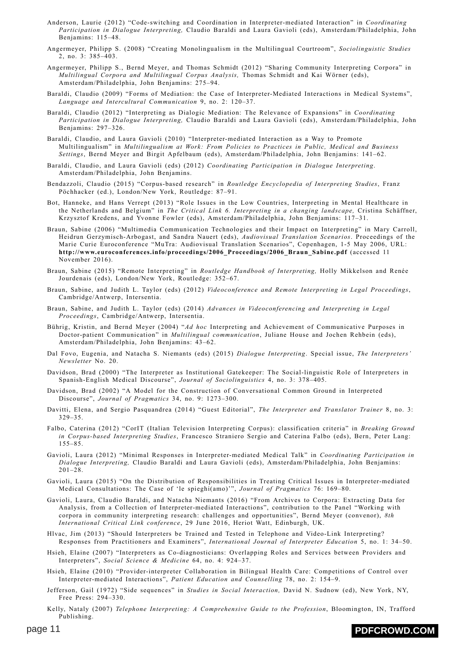- Anderson, Laurie (2012) "Code-switching and Coordination in Interpreter-mediated Interaction" in *Coordinating Participation in Dialogue Interpreting,* Claudio Baraldi and Laura Gavioli (eds), Amsterdam/Philadelphia, John Benjamins: 115–48.
- Angermeyer, Philipp S. (2008) "Creating Monolingualism in the Multilingual Courtroom", *Sociolinguistic Studies* 2, no. 3: 385–403.
- Angermeyer, Philipp S., Bernd Meyer, and Thomas Schmidt (2012) "Sharing Community Interpreting Corpora" in *Multilingual Corpora and Multilingual Corpus Analysis,* Thomas Schmidt and Kai Wörner (eds), Amsterdam/Philadelphia, John Benjamins: 275–94.
- Baraldi, Claudio (2009) "Forms of Mediation: the Case of Interpreter-Mediated Interactions in Medical Systems", *Language and Intercultural Communication* 9, no. 2: 120–37.
- Baraldi, Claudio (2012) "Interpreting as Dialogic Mediation: The Relevance of Expansions" in *Coordinating Participation in Dialogue Interpreting,* Claudio Baraldi and Laura Gavioli (eds), Amsterdam/Philadelphia, John Benjamins: 297–326.
- Baraldi, Claudio, and Laura Gavioli (2010) "Interpreter-mediated Interaction as a Way to Promote Multilingualism" in *Multilingualism at Work: From Policies to Practices in Public, Medical and Business Settings*, Bernd Meyer and Birgit Apfelbaum (eds), Amsterdam/Philadelphia, John Benjamins: 141–62.
- Baraldi, Claudio, and Laura Gavioli (eds) (2012) *Coordinating Participation in Dialogue Interpreting*. Amsterdam/Philadelphia, John Benjamins.
- Bendazzoli, Claudio (2015) "Corpus-based research" in *Routledge Encyclopedia of Interpreting Studies*, Franz Pöchhacker (ed.), London/New York, Routledge: 87–91.
- Bot, Hanneke, and Hans Verrept (2013) "Role Issues in the Low Countries, Interpreting in Mental Healthcare in the Netherlands and Belgium" in *The Critical Link 6. Interpreting in a changing landscape,* Cristina Schäffner, Krzysztof Kredens, and Yvonne Fowler (eds), Amsterdam/Philadelphia, John Benjamins: 117–31.
- Braun, Sabine (2006) "Multimedia Communication Technologies and their Impact on Interpreting" in Mary Carroll, Heidrun Gerzymisch-Arbogast, and Sandra Nauert (eds), *Audiovisual Translation Scenarios*. Proceedings of the Marie Curie Euroconference "MuTra: Audiovisual Translation Scenarios", Copenhagen, 1-5 May 2006, URL: **[http://www.euroconferences.info/proceedings/2006\\_Proceedings/2006\\_Braun\\_Sabine.pdf](http://www.euroconferences.info/proceedings/2006_Proceedings/2006_Braun_Sabine.pdf)** (accessed 11 November 2016).
- Braun, Sabine (2015) "Remote Interpreting" in *Routledge Handbook of Interpreting,* Holly Mikkelson and Renée Jourdenais (eds), London/New York, Routledge: 352–67.
- Braun, Sabine, and Judith L. Taylor (eds) (2012) *Videoconference and Remote Interpreting in Legal Proceedings*, Cambridge/Antwerp, Intersentia.
- Braun, Sabine, and Judith L. Taylor (eds) (2014) *Advances in Videoconferencing and Interpreting in Legal Proceedings*, Cambridge/Antwerp, Intersentia.
- Bührig, Kristin, and Bernd Meyer (2004) "*Ad hoc* Interpreting and Achievement of Communicative Purposes in Doctor-patient Communication" in *Multilingual communication*, Juliane House and Jochen Rehbein (eds), Amsterdam/Philadelphia, John Benjamins: 43–62.
- Dal Fovo, Eugenia, and Natacha S. Niemants (eds) (2015) *Dialogue Interpreting*. Special issue, *The Interpreters' Newsletter* No. 20.
- Davidson, Brad (2000) "The Interpreter as Institutional Gatekeeper: The Social-linguistic Role of Interpreters in Spanish-English Medical Discourse", *Journal of Sociolinguistics* 4, no. 3: 378–405.
- Davidson, Brad (2002) "A Model for the Construction of Conversational Common Ground in Interpreted Discourse", *Journal of Pragmatics* 34, no. 9: 1273–300.
- Davitti, Elena, and Sergio Pasquandrea (2014) "Guest Editorial", *The Interpreter and Translator Trainer* 8, no. 3: 329–35.
- Falbo, Caterina (2012) "CorIT (Italian Television Interpreting Corpus): classification criteria" in *Breaking Ground in Corpus-based Interpreting Studies*, Francesco Straniero Sergio and Caterina Falbo (eds), Bern, Peter Lang: 155–85.
- Gavioli, Laura (2012) "Minimal Responses in Interpreter-mediated Medical Talk" in *Coordinating Participation in Dialogue Interpreting,* Claudio Baraldi and Laura Gavioli (eds), Amsterdam/Philadelphia, John Benjamins: 201–28.
- Gavioli, Laura (2015) "On the Distribution of Responsibilities in Treating Critical Issues in Interpreter-mediated Medical Consultations: The Case of 'le spieghi(amo)'", *Journal of Pragmatics* 76: 169–80.
- Gavioli, Laura, Claudio Baraldi, and Natacha Niemants (2016) "From Archives to Corpora: Extracting Data for Analysis, from a Collection of Interpreter-mediated Interactions", contribution to the Panel "Working with corpora in community interpreting research: challenges and opportunities", Bernd Meyer (convenor), *8th International Critical Link conference*, 29 June 2016, Heriot Watt, Edinburgh, UK.
- Hlvac, Jim (2013) "Should Interpreters be Trained and Tested in Telephone and Video-Link Interpreting? Responses from Practitioners and Examiners", *International Journal of Interpreter Education* 5, no. 1: 34–50.
- Hsieh, Elaine (2007) "Interpreters as Co-diagnosticians: Overlapping Roles and Services between Providers and Interpreters", *Social Science & Medicine* 64, no. 4: 924–37.
- Hsieh, Elaine (2010) "Provider-interpreter Collaboration in Bilingual Health Care: Competitions of Control over Interpreter-mediated Interactions", *Patient Education and Counselling* 78, no. 2: 154–9.
- Jefferson, Gail (1972) "Side sequences" in *Studies in Social Interaction,* David N. Sudnow (ed), New York, NY, Free Press: 294–330.
- Kelly, Nataly (2007) *Telephone Interpreting: A Comprehensive Guide to the Profession*, Bloomington, IN, Trafford Publishing.

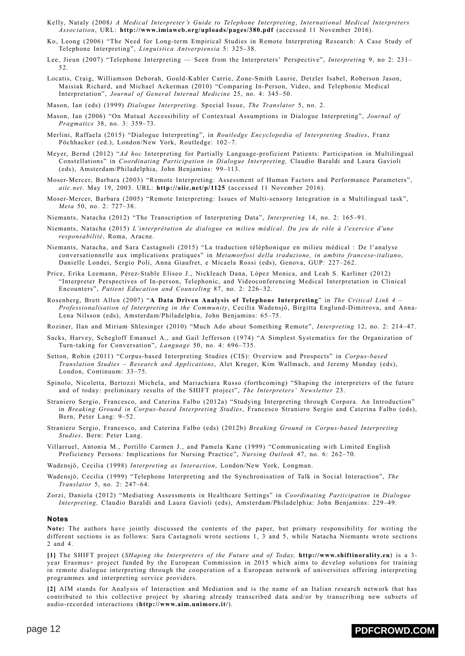- Kelly, Nataly (2008*) A Medical Interpreter's Guide to Telephone Interpreting*, *International Medical Interpreters Association*, URL: **<http://www.imiaweb.org/uploads/pages/380.pdf>** (accessed 11 November 2016).
- Ko, Leong (2006) "The Need for Long-term Empirical Studies in Remote Interpreting Research: A Case Study of Telephone Interpreting", *Linguistica Antverpiensia* 5: 325–38.
- Lee, Jieun (2007) "Telephone Interpreting Seen from the Interpreters' Perspective", *Interpreting* 9, no 2: 231– 52.
- Locatis, Craig, Williamson Deborah, Gould-Kabler Carrie, Zone-Smith Laurie, Detzler Isabel, Roberson Jason, Maisiak Richard, and Michael Ackerman (2010) "Comparing In-Person, Video, and Telephonic Medical Interpretation", *Journal of General Internal Medicine* 25, no. 4: 345–50.
- Mason, Ian (eds) (1999) *Dialogue Interpreting*. Special Issue, *The Translator* 5, no. 2.
- Mason, Ian (2006) "On Mutual Accessibility of Contextual Assumptions in Dialogue Interpreting", *Journal of Pragmatics* 38, no. 3: 359–73.
- Merlini, Raffaela (2015) "Dialogue Interpreting", in *Routledge Encyclopedia of Interpreting Studies*, Franz Pöchhacker (ed.), London/New York, Routledge: 102–7.
- Meyer, Bernd (2012) "*Ad hoc* Interpreting for Partially Language-proficient Patients: Participation in Multilingual Constellations" in *Coordinating Participation in Dialogue Interpreting,* Claudio Baraldi and Laura Gavioli (eds), Amsterdam/Philadelphia, John Benjamins: 99–113.
- Moser-Mercer, Barbara (2003) "Remote Interpreting: Assessment of Human Factors and Performance Parameters", *aiic.net*. May 19, 2003. URL: **<http://aiic.net/p/1125>** (accessed 11 November 2016).
- Moser-Mercer, Barbara (2005) "Remote Interpreting: Issues of Multi-sensory Integration in a Multilingual task", *Meta* 50, no. 2: 727–38.
- Niemants, Natacha (2012) "The Transcription of Interpreting Data", *Interpreting* 14, no. 2: 165–91.
- Niemants, Natacha (2015) *L'interprétation de dialogue en milieu médical*. *Du jeu de rôle à l'exercice d'une responsabilité*, Roma, Aracne.
- Niemants, Natacha, and Sara Castagnoli (2015) "La traduction téléphonique en milieu médical : De l'analyse conversationnelle aux implications pratiques" in *Metamorfosi della traduzione, in ambito francese-italiano*, Danielle Londei, Sergio Poli, Anna Giaufret, e Micaela Rossi (eds), Genova, GUP: 227–262.
- Price, Erika Leemann, Pérez-Stable Eliseo J., Nickleach Dana, López Monica, and Leah S. Karliner (2012) "Interpreter Perspectives of In-person, Telephonic, and Videoconferencing Medical Interpretation in Clinical Encounters", *Patient Education and Counseling* 87, no. 2: 226–32.
- Rosenberg, Brett Allen (2007) "**A Data Driven Analysis of Telephone [Interpreting](http://www.dailynterpreter.com/archives/477)**" in *The Critical Link 4 – Professionalisation of Interpreting in the Community*, Cecilia Wadensjö, Birgitta Englund-Dimitrova, and Anna-Lena Nilsson (eds), Amsterdam/Philadelphia, John Benjamins: 65–75.
- Roziner, Ilan and Miriam Shlesinger (2010) "Much Ado about Something Remote", *Interpreting* 12, no. 2: 214–47.
- Sacks, Harvey, Schegloff Emanuel A., and Gail Jefferson (1974) "A Simplest Systematics for the Organization of Turn-taking for Conversation", *Language* 50, no. 4: 696–735.
- Setton, Robin (2011) "Corpus-based Interpreting Studies (CIS): Overview and Prospects" in *Corpus-based Translation Studies – Research and Applications*, Alet Kruger, Kim Wallmach, and Jeremy Munday (eds), London, Continuum: 33–75.
- Spinolo, Nicoletta, Bertozzi Michela, and Mariachiara Russo (forthcoming) "Shaping the interpreters of the future and of today: preliminary results of the SHIFT project", *The Interpreters' Newsletter* 23.
- Straniero Sergio, Francesco, and Caterina Falbo (2012a) "Studying Interpreting through Corpora. An Introduction" in *Breaking Ground in Corpus-based Interpreting Studies*, Francesco Straniero Sergio and Caterina Falbo (eds), Bern, Peter Lang: 9–52.
- Straniero Sergio, Francesco, and Caterina Falbo (eds) (2012b) *Breaking Ground in Corpus-based Interpreting Studies*. Bern: Peter Lang.
- Villarruel, Antonia M., Portillo Carmen J., and Pamela Kane (1999) "Communicating with Limited English Proficiency Persons: Implications for Nursing Practice", *Nursing Outlook* 47, no. 6: 262–70.
- Wadensjö, Cecilia (1998) *[Interpreting](http://www.dailynterpreter.com/archives/34) as Interaction*, London/New York, Longman.
- Wadensjö, Cecilia (1999) "Telephone Interpreting and the Synchronisation of Talk in Social Interaction", *The Translator* 5, no. 2: 247–64.
- Zorzi, Daniela (2012) "Mediating Assessments in Healthcare Settings" in *Coordinating Participation in Dialogue Interpreting,* Claudio Baraldi and Laura Gavioli (eds), Amsterdam/Philadelphia: John Benjamins: 229–49.

#### **Notes**

**Note:** The authors have jointly discussed the contents of the paper, but primary responsibility for writing the different sections is as follows: Sara Castagnoli wrote sections 1, 3 and 5, while Natacha Niemants wrote sections 2 and 4.

<span id="page-11-0"></span>**[\[1\]](#page-1-0)** The SHIFT project (*SHaping the Interpreters of the Future and of Today,* **[http://www.shiftinorality.eu](http://www.shiftinorality.eu/)**) is a 3 year Erasmus+ project funded by the European Commission in 2015 which aims to develop solutions for training in remote dialogue interpreting through the cooperation of a European network of universities offering interpreting programmes and interpreting service providers.

<span id="page-11-1"></span>**[\[2\]](#page-1-1)** AIM stands for Analysis of Interaction and Mediation and is the name of an Italian research network that has contributed to this collective project by sharing already transcribed data and/or by transcribing new subsets of audio-recorded interactions (**<http://www.aim.unimore.it/>**).

## page 12 **[PDFCROWD.COM](https://pdfcrowd.com/?ref=saveas)**